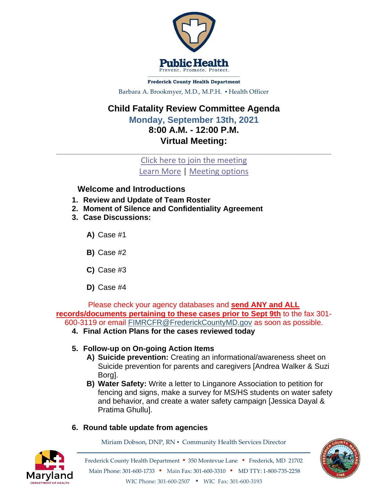

**Frederick County Health Department** Barbara A. Brookmyer, M.D., M.P.H. · Health Officer

## **Child Fatality Review Committee Agenda Monday, September 13th, 2021 8:00 A.M. - 12:00 P.M. Virtual Meeting:**

[Click here to join the meeting](https://teams.microsoft.com/l/meetup-join/19%3ameeting_Yjg0MzJiOTItYWZmNC00M2JjLTk4M2ItZGI1NGNkMGFlMmU4%40thread.v2/0?context=%7b%22Tid%22%3a%2248c6342d-3806-4843-9dec-6a40b1bb8737%22%2c%22Oid%22%3a%2235a10a78-0487-47fc-a433-7f7e6c86c405%22%7d) [Learn More](https://aka.ms/JoinTeamsMeeting) | [Meeting options](https://teams.microsoft.com/meetingOptions/?organizerId=35a10a78-0487-47fc-a433-7f7e6c86c405&tenantId=48c6342d-3806-4843-9dec-6a40b1bb8737&threadId=19_meeting_Yjg0MzJiOTItYWZmNC00M2JjLTk4M2ItZGI1NGNkMGFlMmU4@thread.v2&messageId=0&language=en-US)

 $\_$  , and the set of the set of the set of the set of the set of the set of the set of the set of the set of the set of the set of the set of the set of the set of the set of the set of the set of the set of the set of th

## **Welcome and Introductions**

- **1. Review and Update of Team Roster**
- **2. Moment of Silence and Confidentiality Agreement**
- **3. Case Discussions:** 
	- **A)** Case #1
	- **B)** Case #2
	- **C)** Case #3
	- **D)** Case #4

Please check your agency databases and **send ANY and ALL records/documents pertaining to these cases prior to Sept 9th** to the fax 301- 600-3119 or email [FIMRCFR@FrederickCountyMD.gov](mailto:FIMRCFR@FrederickCountyMD.gov) as soon as possible.

- **4. Final Action Plans for the cases reviewed today**
- **5. Follow-up on On-going Action Items**
	- **A) Suicide prevention:** Creating an informational/awareness sheet on Suicide prevention for parents and caregivers [Andrea Walker & Suzi Borg].
	- **B) Water Safety:** Write a letter to Linganore Association to petition for fencing and signs, make a survey for MS/HS students on water safety and behavior, and create a water safety campaign [Jessica Dayal & Pratima Ghullu].

## **6. Round table update from agencies**

Miriam Dobson, DNP, RN ▪ Community Health Services Director



Frederick County Health Department ▪ 350 Montevue Lane ▪ Frederick, MD 21702 Main Phone: 301-600-1733 • Main Fax: 301-600-3310 • MD TTY: 1-800-735-2258 WIC Phone: 301-600-2507 • WIC Fax: 301-600-3193